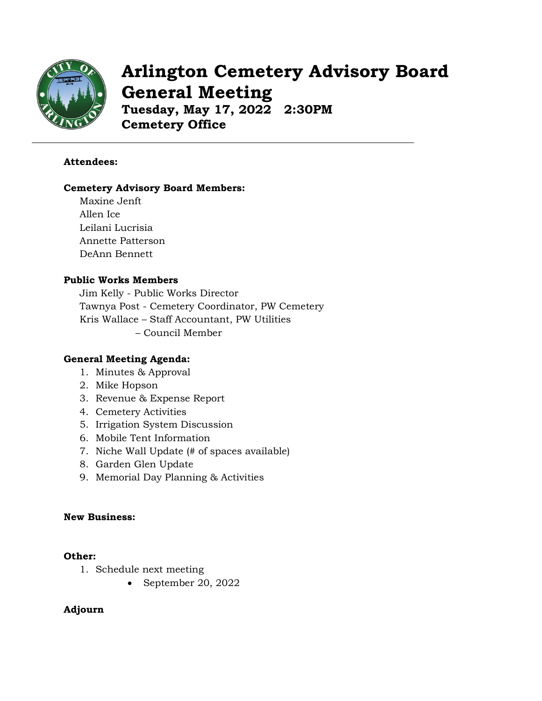

# **Arlington Cemetery Advisory Board General Meeting**

**Tuesday, May 17, 2022 2:30PM Cemetery Office**

## **Attendees:**

#### **Cemetery Advisory Board Members:**

Maxine Jenft Allen Ice Leilani Lucrisia Annette Patterson DeAnn Bennett

## **Public Works Members**

Jim Kelly - Public Works Director Tawnya Post - Cemetery Coordinator, PW Cemetery Kris Wallace – Staff Accountant, PW Utilities – Council Member

#### **General Meeting Agenda:**

- 1. Minutes & Approval
- 2. Mike Hopson
- 3. Revenue & Expense Report
- 4. Cemetery Activities
- 5. Irrigation System Discussion
- 6. Mobile Tent Information
- 7. Niche Wall Update (# of spaces available)
- 8. Garden Glen Update
- 9. Memorial Day Planning & Activities

#### **New Business:**

#### **Other:**

- 1. Schedule next meeting
	- September 20, 2022

# **Adjourn**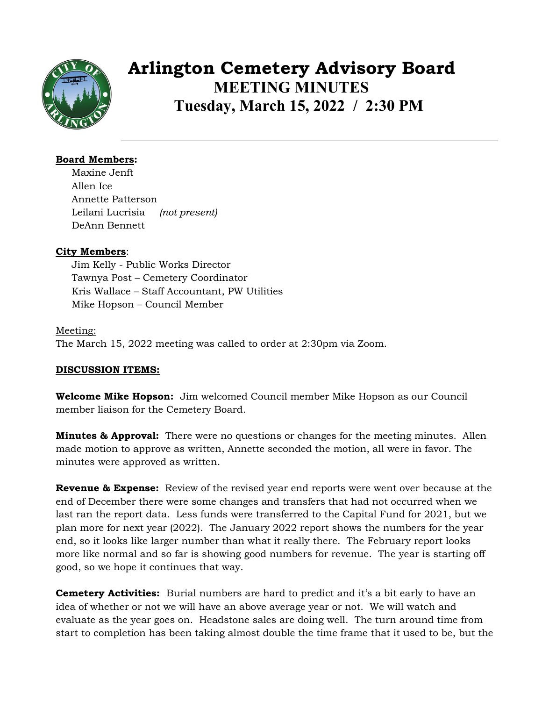

# **Arlington Cemetery Advisory Board MEETING MINUTES Tuesday, March 15, 2022 / 2:30 PM**

## **Board Members:**

Maxine Jenft Allen Ice Annette Patterson Leilani Lucrisia *(not present)* DeAnn Bennett

## **City Members**:

Jim Kelly - Public Works Director Tawnya Post – Cemetery Coordinator Kris Wallace – Staff Accountant, PW Utilities Mike Hopson – Council Member

# Meeting: The March 15, 2022 meeting was called to order at 2:30pm via Zoom.

# **DISCUSSION ITEMS:**

**Welcome Mike Hopson:** Jim welcomed Council member Mike Hopson as our Council member liaison for the Cemetery Board.

**Minutes & Approval:** There were no questions or changes for the meeting minutes. Allen made motion to approve as written, Annette seconded the motion, all were in favor. The minutes were approved as written.

**Revenue & Expense:** Review of the revised year end reports were went over because at the end of December there were some changes and transfers that had not occurred when we last ran the report data. Less funds were transferred to the Capital Fund for 2021, but we plan more for next year (2022). The January 2022 report shows the numbers for the year end, so it looks like larger number than what it really there. The February report looks more like normal and so far is showing good numbers for revenue. The year is starting off good, so we hope it continues that way.

**Cemetery Activities:** Burial numbers are hard to predict and it's a bit early to have an idea of whether or not we will have an above average year or not. We will watch and evaluate as the year goes on. Headstone sales are doing well. The turn around time from start to completion has been taking almost double the time frame that it used to be, but the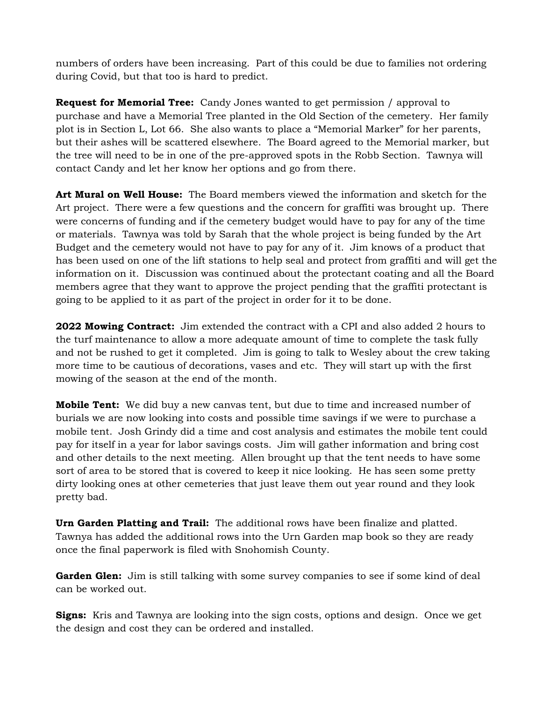numbers of orders have been increasing. Part of this could be due to families not ordering during Covid, but that too is hard to predict.

**Request for Memorial Tree:** Candy Jones wanted to get permission / approval to purchase and have a Memorial Tree planted in the Old Section of the cemetery. Her family plot is in Section L, Lot 66. She also wants to place a "Memorial Marker" for her parents, but their ashes will be scattered elsewhere. The Board agreed to the Memorial marker, but the tree will need to be in one of the pre-approved spots in the Robb Section. Tawnya will contact Candy and let her know her options and go from there.

**Art Mural on Well House:** The Board members viewed the information and sketch for the Art project. There were a few questions and the concern for graffiti was brought up. There were concerns of funding and if the cemetery budget would have to pay for any of the time or materials. Tawnya was told by Sarah that the whole project is being funded by the Art Budget and the cemetery would not have to pay for any of it. Jim knows of a product that has been used on one of the lift stations to help seal and protect from graffiti and will get the information on it. Discussion was continued about the protectant coating and all the Board members agree that they want to approve the project pending that the graffiti protectant is going to be applied to it as part of the project in order for it to be done.

**2022 Mowing Contract:** Jim extended the contract with a CPI and also added 2 hours to the turf maintenance to allow a more adequate amount of time to complete the task fully and not be rushed to get it completed. Jim is going to talk to Wesley about the crew taking more time to be cautious of decorations, vases and etc. They will start up with the first mowing of the season at the end of the month.

**Mobile Tent:** We did buy a new canvas tent, but due to time and increased number of burials we are now looking into costs and possible time savings if we were to purchase a mobile tent. Josh Grindy did a time and cost analysis and estimates the mobile tent could pay for itself in a year for labor savings costs. Jim will gather information and bring cost and other details to the next meeting. Allen brought up that the tent needs to have some sort of area to be stored that is covered to keep it nice looking. He has seen some pretty dirty looking ones at other cemeteries that just leave them out year round and they look pretty bad.

**Urn Garden Platting and Trail:** The additional rows have been finalize and platted. Tawnya has added the additional rows into the Urn Garden map book so they are ready once the final paperwork is filed with Snohomish County.

**Garden Glen:** Jim is still talking with some survey companies to see if some kind of deal can be worked out.

**Signs:** Kris and Tawnya are looking into the sign costs, options and design. Once we get the design and cost they can be ordered and installed.